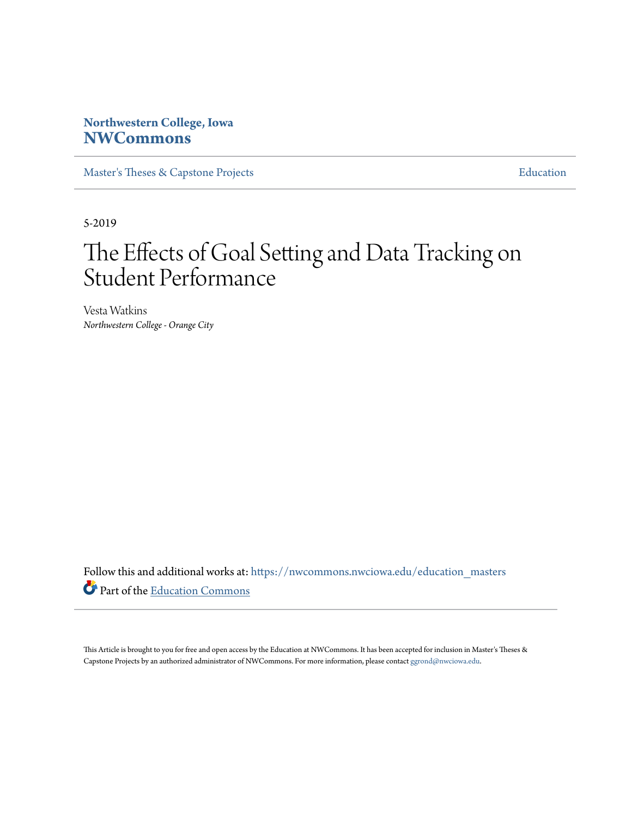# **Northwestern College, Iowa [NWCommons](https://nwcommons.nwciowa.edu?utm_source=nwcommons.nwciowa.edu%2Feducation_masters%2F121&utm_medium=PDF&utm_campaign=PDFCoverPages)**

[Master's Theses & Capstone Projects](https://nwcommons.nwciowa.edu/education_masters?utm_source=nwcommons.nwciowa.edu%2Feducation_masters%2F121&utm_medium=PDF&utm_campaign=PDFCoverPages) **[Education](https://nwcommons.nwciowa.edu/education?utm_source=nwcommons.nwciowa.edu%2Feducation_masters%2F121&utm_medium=PDF&utm_campaign=PDFCoverPages)** 

5-2019

# The Effects of Goal Setting and Data Tracking on Student Performance

Vesta Watkins *Northwestern College - Orange City*

Follow this and additional works at: [https://nwcommons.nwciowa.edu/education\\_masters](https://nwcommons.nwciowa.edu/education_masters?utm_source=nwcommons.nwciowa.edu%2Feducation_masters%2F121&utm_medium=PDF&utm_campaign=PDFCoverPages) Part of the [Education Commons](http://network.bepress.com/hgg/discipline/784?utm_source=nwcommons.nwciowa.edu%2Feducation_masters%2F121&utm_medium=PDF&utm_campaign=PDFCoverPages)

This Article is brought to you for free and open access by the Education at NWCommons. It has been accepted for inclusion in Master's Theses & Capstone Projects by an authorized administrator of NWCommons. For more information, please contact [ggrond@nwciowa.edu.](mailto:ggrond@nwciowa.edu)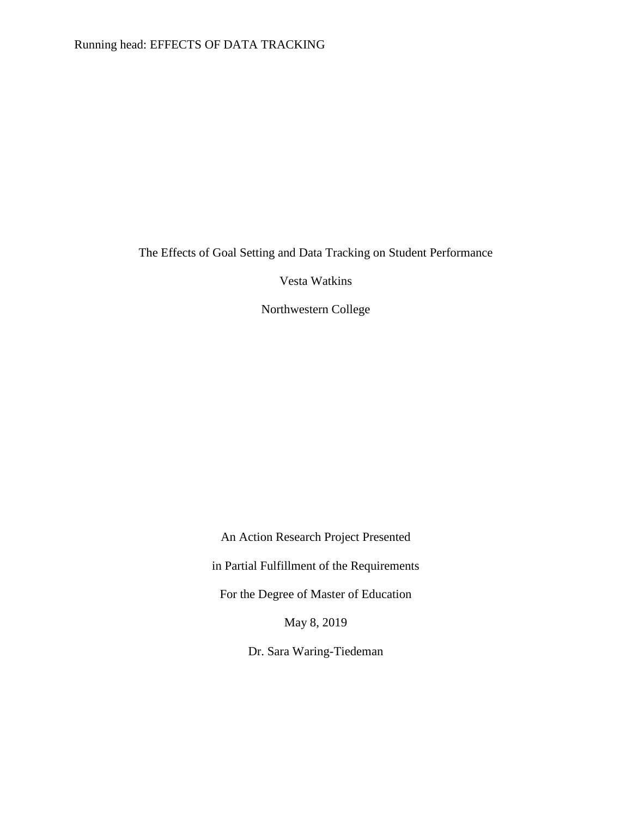The Effects of Goal Setting and Data Tracking on Student Performance

Vesta Watkins

Northwestern College

An Action Research Project Presented

in Partial Fulfillment of the Requirements

For the Degree of Master of Education

May 8, 2019

Dr. Sara Waring-Tiedeman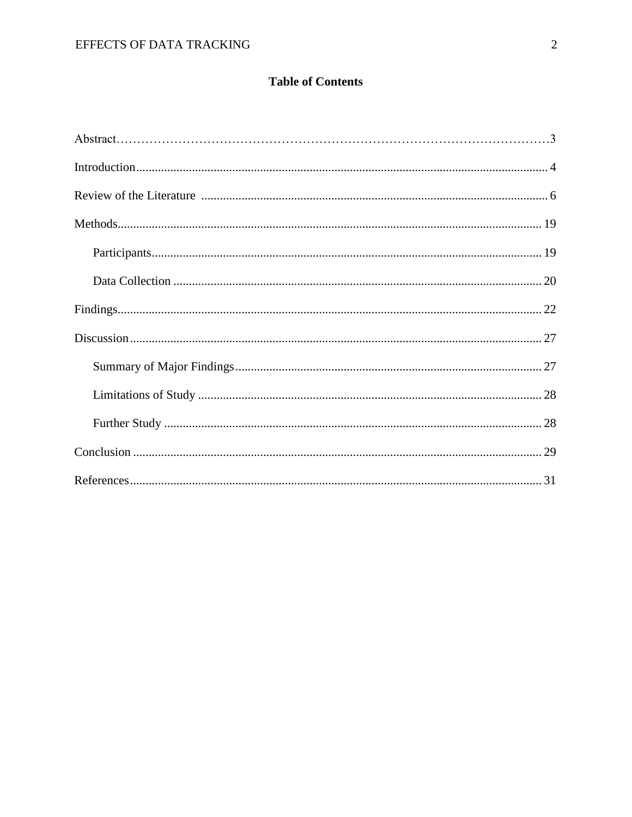# **Table of Contents**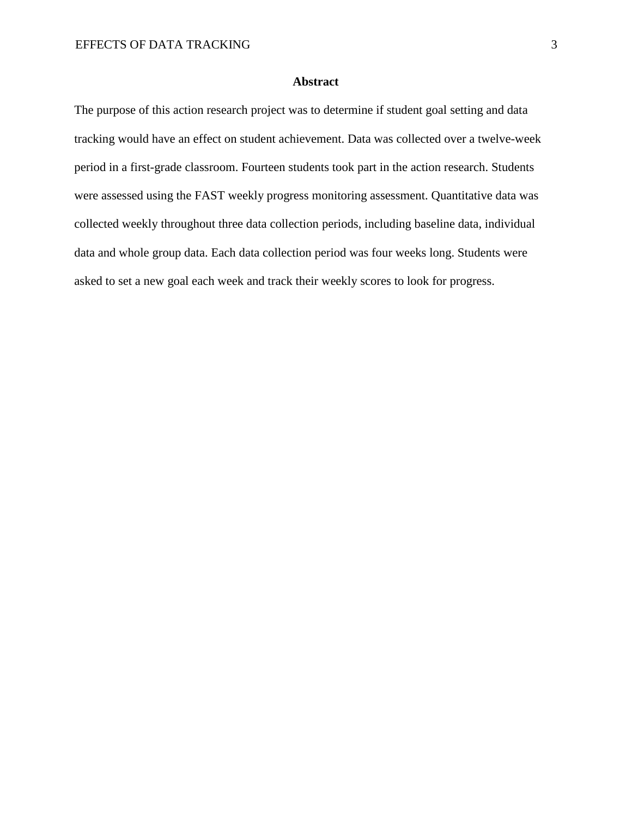# **Abstract**

The purpose of this action research project was to determine if student goal setting and data tracking would have an effect on student achievement. Data was collected over a twelve-week period in a first-grade classroom. Fourteen students took part in the action research. Students were assessed using the FAST weekly progress monitoring assessment. Quantitative data was collected weekly throughout three data collection periods, including baseline data, individual data and whole group data. Each data collection period was four weeks long. Students were asked to set a new goal each week and track their weekly scores to look for progress.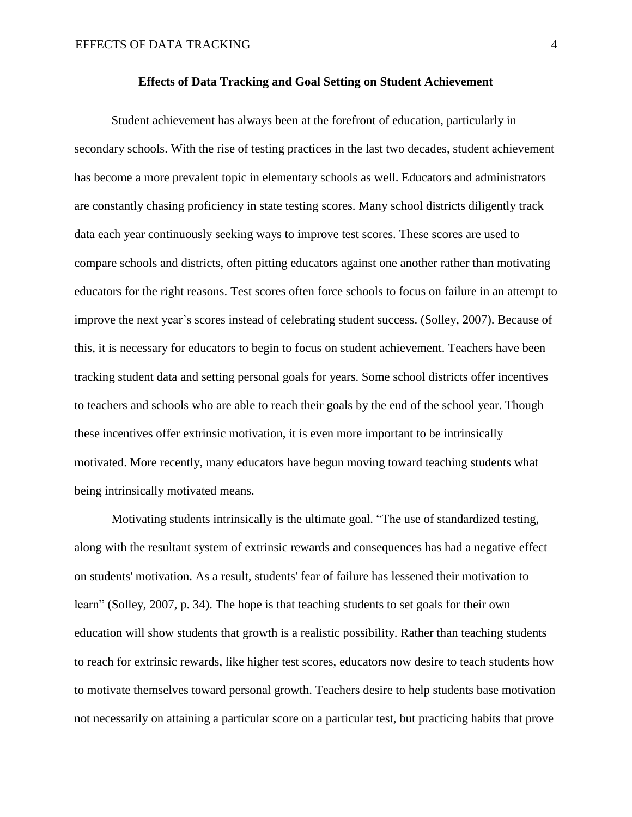#### **Effects of Data Tracking and Goal Setting on Student Achievement**

Student achievement has always been at the forefront of education, particularly in secondary schools. With the rise of testing practices in the last two decades, student achievement has become a more prevalent topic in elementary schools as well. Educators and administrators are constantly chasing proficiency in state testing scores. Many school districts diligently track data each year continuously seeking ways to improve test scores. These scores are used to compare schools and districts, often pitting educators against one another rather than motivating educators for the right reasons. Test scores often force schools to focus on failure in an attempt to improve the next year's scores instead of celebrating student success. (Solley, 2007). Because of this, it is necessary for educators to begin to focus on student achievement. Teachers have been tracking student data and setting personal goals for years. Some school districts offer incentives to teachers and schools who are able to reach their goals by the end of the school year. Though these incentives offer extrinsic motivation, it is even more important to be intrinsically motivated. More recently, many educators have begun moving toward teaching students what being intrinsically motivated means.

Motivating students intrinsically is the ultimate goal. "The use of standardized testing, along with the resultant system of extrinsic rewards and consequences has had a negative effect on students' motivation. As a result, students' fear of failure has lessened their motivation to learn" (Solley, 2007, p. 34). The hope is that teaching students to set goals for their own education will show students that growth is a realistic possibility. Rather than teaching students to reach for extrinsic rewards, like higher test scores, educators now desire to teach students how to motivate themselves toward personal growth. Teachers desire to help students base motivation not necessarily on attaining a particular score on a particular test, but practicing habits that prove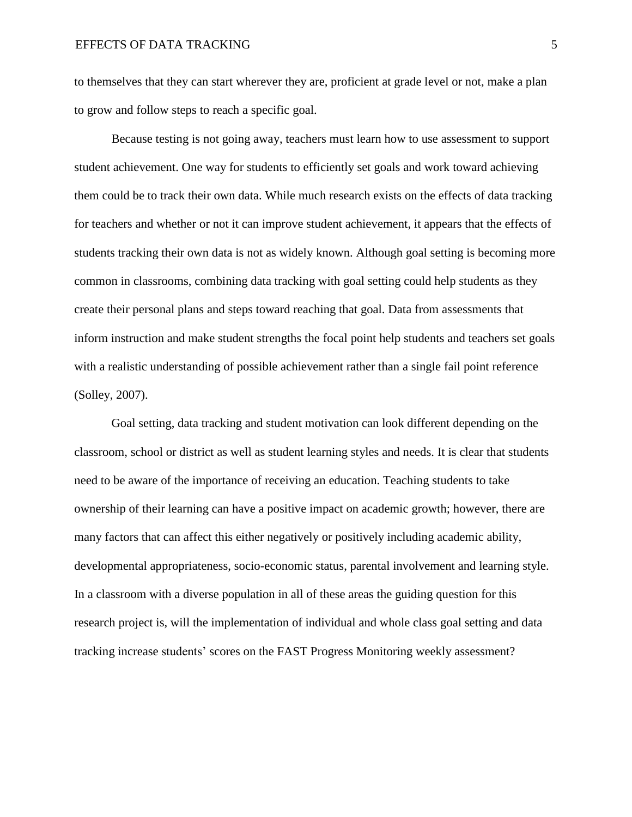to themselves that they can start wherever they are, proficient at grade level or not, make a plan to grow and follow steps to reach a specific goal.

Because testing is not going away, teachers must learn how to use assessment to support student achievement. One way for students to efficiently set goals and work toward achieving them could be to track their own data. While much research exists on the effects of data tracking for teachers and whether or not it can improve student achievement, it appears that the effects of students tracking their own data is not as widely known. Although goal setting is becoming more common in classrooms, combining data tracking with goal setting could help students as they create their personal plans and steps toward reaching that goal. Data from assessments that inform instruction and make student strengths the focal point help students and teachers set goals with a realistic understanding of possible achievement rather than a single fail point reference (Solley, 2007).

Goal setting, data tracking and student motivation can look different depending on the classroom, school or district as well as student learning styles and needs. It is clear that students need to be aware of the importance of receiving an education. Teaching students to take ownership of their learning can have a positive impact on academic growth; however, there are many factors that can affect this either negatively or positively including academic ability, developmental appropriateness, socio-economic status, parental involvement and learning style. In a classroom with a diverse population in all of these areas the guiding question for this research project is, will the implementation of individual and whole class goal setting and data tracking increase students' scores on the FAST Progress Monitoring weekly assessment?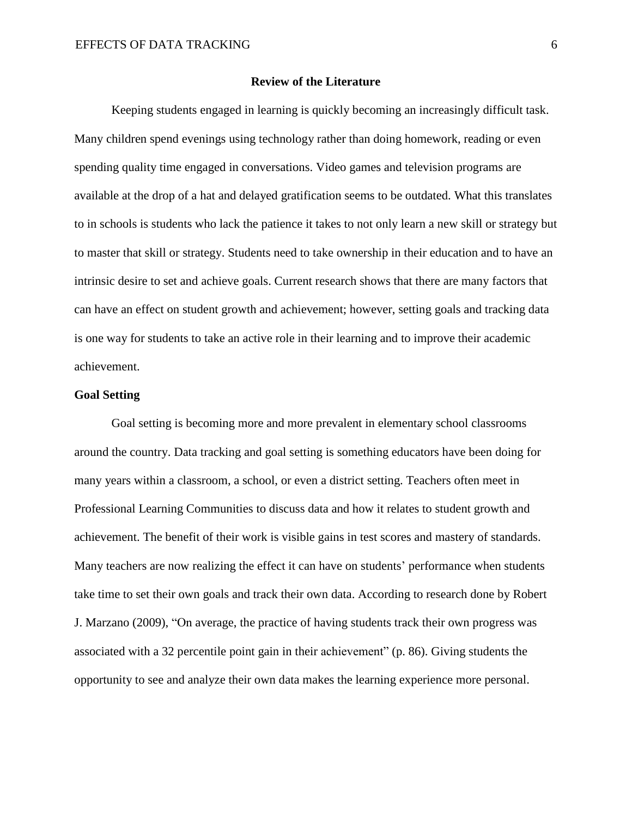#### **Review of the Literature**

Keeping students engaged in learning is quickly becoming an increasingly difficult task. Many children spend evenings using technology rather than doing homework, reading or even spending quality time engaged in conversations. Video games and television programs are available at the drop of a hat and delayed gratification seems to be outdated. What this translates to in schools is students who lack the patience it takes to not only learn a new skill or strategy but to master that skill or strategy. Students need to take ownership in their education and to have an intrinsic desire to set and achieve goals. Current research shows that there are many factors that can have an effect on student growth and achievement; however, setting goals and tracking data is one way for students to take an active role in their learning and to improve their academic achievement.

## **Goal Setting**

Goal setting is becoming more and more prevalent in elementary school classrooms around the country. Data tracking and goal setting is something educators have been doing for many years within a classroom, a school, or even a district setting. Teachers often meet in Professional Learning Communities to discuss data and how it relates to student growth and achievement. The benefit of their work is visible gains in test scores and mastery of standards. Many teachers are now realizing the effect it can have on students' performance when students take time to set their own goals and track their own data. According to research done by Robert J. Marzano (2009), "On average, the practice of having students track their own progress was associated with a 32 percentile point gain in their achievement" (p. 86). Giving students the opportunity to see and analyze their own data makes the learning experience more personal.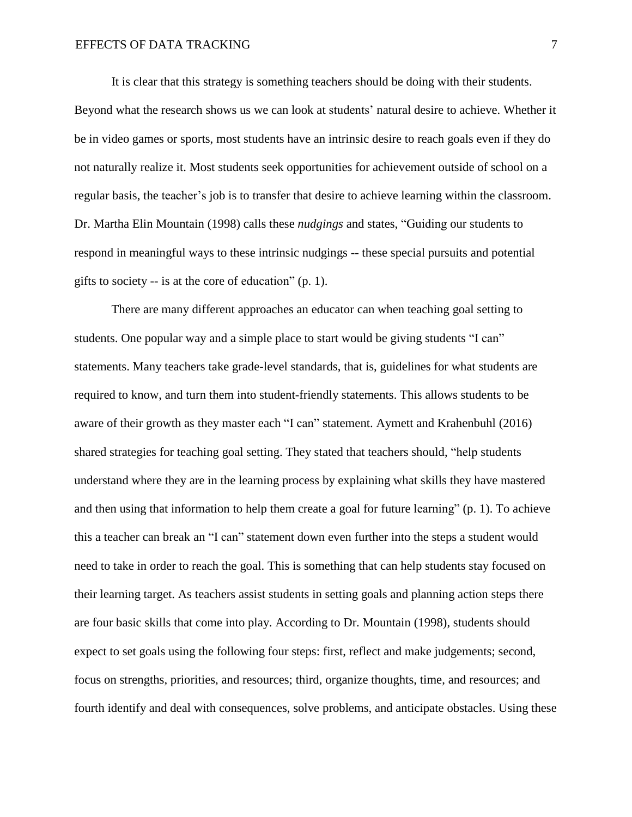It is clear that this strategy is something teachers should be doing with their students. Beyond what the research shows us we can look at students' natural desire to achieve. Whether it be in video games or sports, most students have an intrinsic desire to reach goals even if they do not naturally realize it. Most students seek opportunities for achievement outside of school on a regular basis, the teacher's job is to transfer that desire to achieve learning within the classroom. Dr. Martha Elin Mountain (1998) calls these *nudgings* and states, "Guiding our students to respond in meaningful ways to these intrinsic nudgings -- these special pursuits and potential gifts to society -- is at the core of education" (p. 1).

There are many different approaches an educator can when teaching goal setting to students. One popular way and a simple place to start would be giving students "I can" statements. Many teachers take grade-level standards, that is, guidelines for what students are required to know, and turn them into student-friendly statements. This allows students to be aware of their growth as they master each "I can" statement. Aymett and Krahenbuhl (2016) shared strategies for teaching goal setting. They stated that teachers should, "help students understand where they are in the learning process by explaining what skills they have mastered and then using that information to help them create a goal for future learning" (p. 1). To achieve this a teacher can break an "I can" statement down even further into the steps a student would need to take in order to reach the goal. This is something that can help students stay focused on their learning target. As teachers assist students in setting goals and planning action steps there are four basic skills that come into play. According to Dr. Mountain (1998), students should expect to set goals using the following four steps: first, reflect and make judgements; second, focus on strengths, priorities, and resources; third, organize thoughts, time, and resources; and fourth identify and deal with consequences, solve problems, and anticipate obstacles. Using these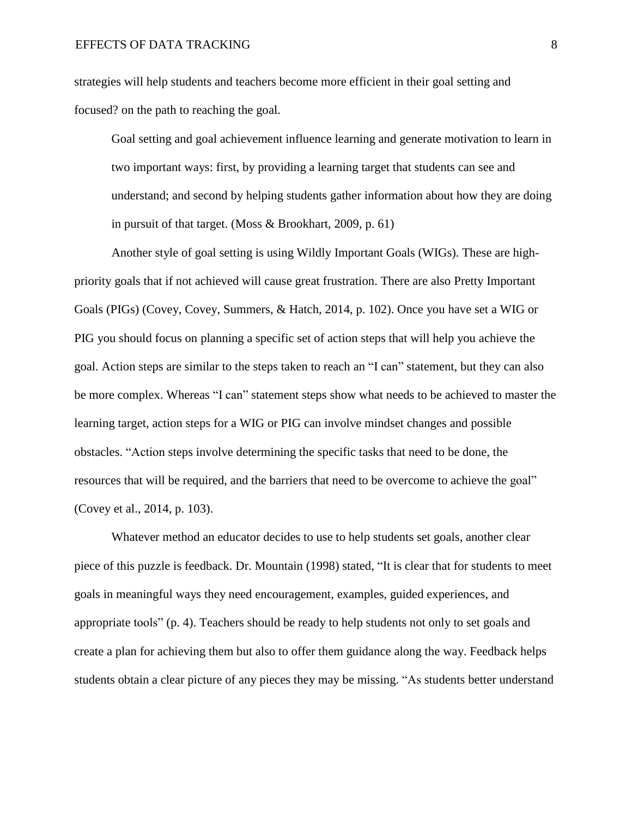strategies will help students and teachers become more efficient in their goal setting and focused? on the path to reaching the goal.

Goal setting and goal achievement influence learning and generate motivation to learn in two important ways: first, by providing a learning target that students can see and understand; and second by helping students gather information about how they are doing in pursuit of that target. (Moss & Brookhart, 2009, p. 61)

Another style of goal setting is using Wildly Important Goals (WIGs). These are highpriority goals that if not achieved will cause great frustration. There are also Pretty Important Goals (PIGs) (Covey, Covey, Summers, & Hatch, 2014, p. 102). Once you have set a WIG or PIG you should focus on planning a specific set of action steps that will help you achieve the goal. Action steps are similar to the steps taken to reach an "I can" statement, but they can also be more complex. Whereas "I can" statement steps show what needs to be achieved to master the learning target, action steps for a WIG or PIG can involve mindset changes and possible obstacles. "Action steps involve determining the specific tasks that need to be done, the resources that will be required, and the barriers that need to be overcome to achieve the goal" (Covey et al., 2014, p. 103).

Whatever method an educator decides to use to help students set goals, another clear piece of this puzzle is feedback. Dr. Mountain (1998) stated, "It is clear that for students to meet goals in meaningful ways they need encouragement, examples, guided experiences, and appropriate tools" (p. 4). Teachers should be ready to help students not only to set goals and create a plan for achieving them but also to offer them guidance along the way. Feedback helps students obtain a clear picture of any pieces they may be missing. "As students better understand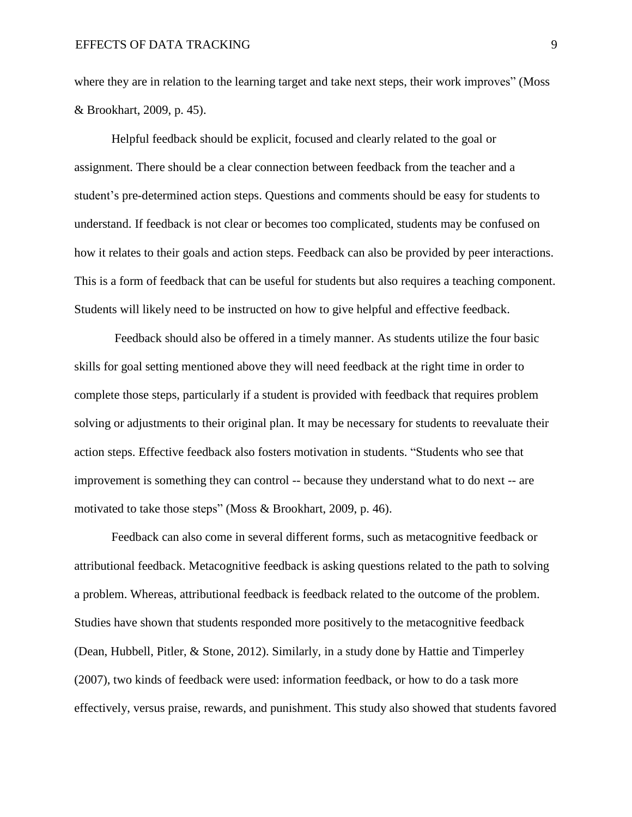where they are in relation to the learning target and take next steps, their work improves" (Moss & Brookhart, 2009, p. 45).

Helpful feedback should be explicit, focused and clearly related to the goal or assignment. There should be a clear connection between feedback from the teacher and a student's pre-determined action steps. Questions and comments should be easy for students to understand. If feedback is not clear or becomes too complicated, students may be confused on how it relates to their goals and action steps. Feedback can also be provided by peer interactions. This is a form of feedback that can be useful for students but also requires a teaching component. Students will likely need to be instructed on how to give helpful and effective feedback.

Feedback should also be offered in a timely manner. As students utilize the four basic skills for goal setting mentioned above they will need feedback at the right time in order to complete those steps, particularly if a student is provided with feedback that requires problem solving or adjustments to their original plan. It may be necessary for students to reevaluate their action steps. Effective feedback also fosters motivation in students. "Students who see that improvement is something they can control -- because they understand what to do next -- are motivated to take those steps" (Moss & Brookhart, 2009, p. 46).

Feedback can also come in several different forms, such as metacognitive feedback or attributional feedback. Metacognitive feedback is asking questions related to the path to solving a problem. Whereas, attributional feedback is feedback related to the outcome of the problem. Studies have shown that students responded more positively to the metacognitive feedback (Dean, Hubbell, Pitler, & Stone, 2012). Similarly, in a study done by Hattie and Timperley (2007), two kinds of feedback were used: information feedback, or how to do a task more effectively, versus praise, rewards, and punishment. This study also showed that students favored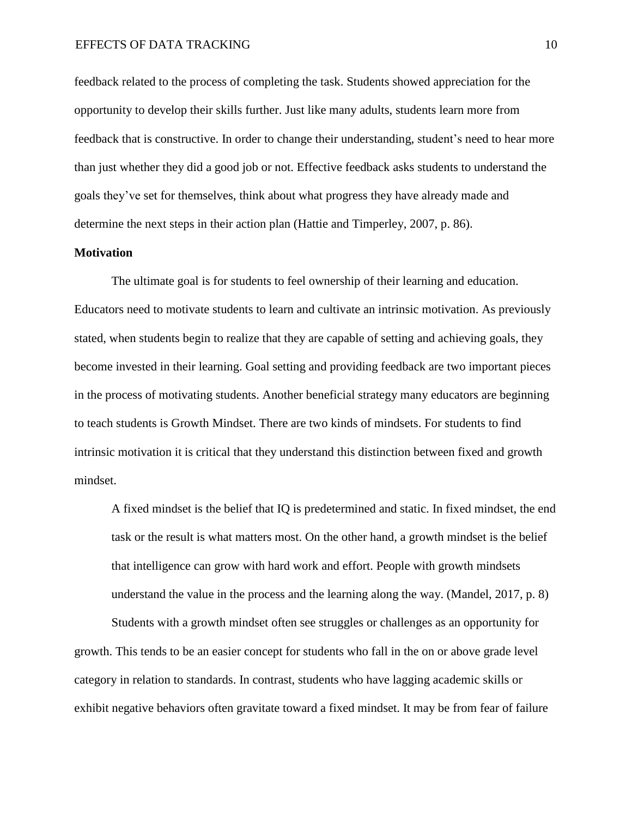feedback related to the process of completing the task. Students showed appreciation for the opportunity to develop their skills further. Just like many adults, students learn more from feedback that is constructive. In order to change their understanding, student's need to hear more than just whether they did a good job or not. Effective feedback asks students to understand the goals they've set for themselves, think about what progress they have already made and determine the next steps in their action plan (Hattie and Timperley, 2007, p. 86).

# **Motivation**

The ultimate goal is for students to feel ownership of their learning and education. Educators need to motivate students to learn and cultivate an intrinsic motivation. As previously stated, when students begin to realize that they are capable of setting and achieving goals, they become invested in their learning. Goal setting and providing feedback are two important pieces in the process of motivating students. Another beneficial strategy many educators are beginning to teach students is Growth Mindset. There are two kinds of mindsets. For students to find intrinsic motivation it is critical that they understand this distinction between fixed and growth mindset.

A fixed mindset is the belief that IQ is predetermined and static. In fixed mindset, the end task or the result is what matters most. On the other hand, a growth mindset is the belief that intelligence can grow with hard work and effort. People with growth mindsets understand the value in the process and the learning along the way. (Mandel, 2017, p. 8)

Students with a growth mindset often see struggles or challenges as an opportunity for growth. This tends to be an easier concept for students who fall in the on or above grade level category in relation to standards. In contrast, students who have lagging academic skills or exhibit negative behaviors often gravitate toward a fixed mindset. It may be from fear of failure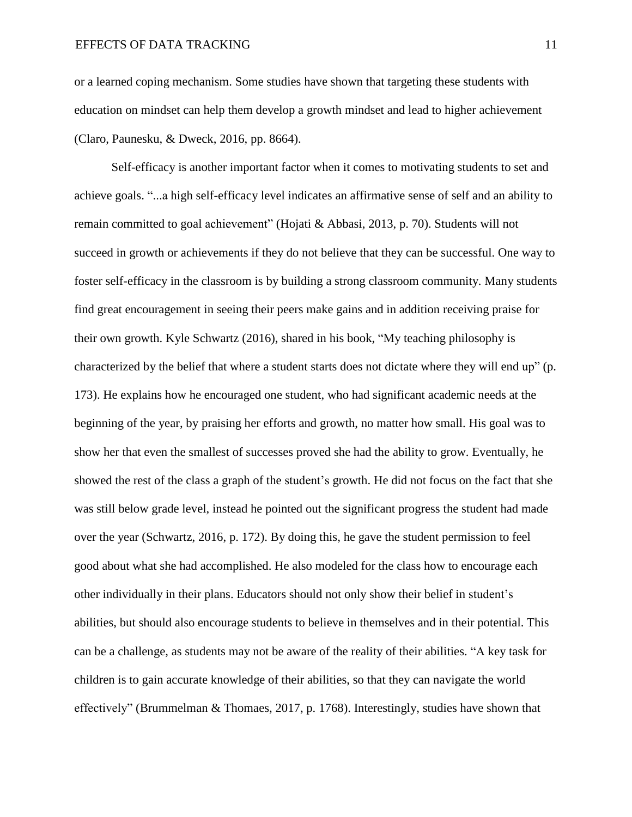or a learned coping mechanism. Some studies have shown that targeting these students with education on mindset can help them develop a growth mindset and lead to higher achievement (Claro, Paunesku, & Dweck, 2016, pp. 8664).

Self-efficacy is another important factor when it comes to motivating students to set and achieve goals. "...a high self-efficacy level indicates an affirmative sense of self and an ability to remain committed to goal achievement" (Hojati & Abbasi, 2013, p. 70). Students will not succeed in growth or achievements if they do not believe that they can be successful. One way to foster self-efficacy in the classroom is by building a strong classroom community. Many students find great encouragement in seeing their peers make gains and in addition receiving praise for their own growth. Kyle Schwartz (2016), shared in his book, "My teaching philosophy is characterized by the belief that where a student starts does not dictate where they will end up" (p. 173). He explains how he encouraged one student, who had significant academic needs at the beginning of the year, by praising her efforts and growth, no matter how small. His goal was to show her that even the smallest of successes proved she had the ability to grow. Eventually, he showed the rest of the class a graph of the student's growth. He did not focus on the fact that she was still below grade level, instead he pointed out the significant progress the student had made over the year (Schwartz, 2016, p. 172). By doing this, he gave the student permission to feel good about what she had accomplished. He also modeled for the class how to encourage each other individually in their plans. Educators should not only show their belief in student's abilities, but should also encourage students to believe in themselves and in their potential. This can be a challenge, as students may not be aware of the reality of their abilities. "A key task for children is to gain accurate knowledge of their abilities, so that they can navigate the world effectively" (Brummelman & Thomaes, 2017, p. 1768). Interestingly, studies have shown that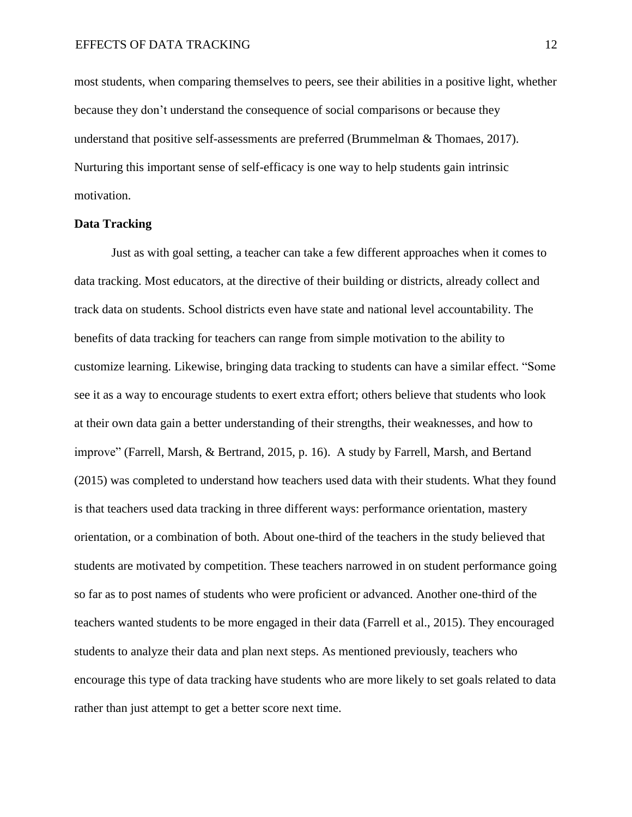most students, when comparing themselves to peers, see their abilities in a positive light, whether because they don't understand the consequence of social comparisons or because they understand that positive self-assessments are preferred (Brummelman & Thomaes, 2017). Nurturing this important sense of self-efficacy is one way to help students gain intrinsic motivation.

#### **Data Tracking**

Just as with goal setting, a teacher can take a few different approaches when it comes to data tracking. Most educators, at the directive of their building or districts, already collect and track data on students. School districts even have state and national level accountability. The benefits of data tracking for teachers can range from simple motivation to the ability to customize learning. Likewise, bringing data tracking to students can have a similar effect. "Some see it as a way to encourage students to exert extra effort; others believe that students who look at their own data gain a better understanding of their strengths, their weaknesses, and how to improve" (Farrell, Marsh, & Bertrand, 2015, p. 16). A study by Farrell, Marsh, and Bertand (2015) was completed to understand how teachers used data with their students. What they found is that teachers used data tracking in three different ways: performance orientation, mastery orientation, or a combination of both. About one-third of the teachers in the study believed that students are motivated by competition. These teachers narrowed in on student performance going so far as to post names of students who were proficient or advanced. Another one-third of the teachers wanted students to be more engaged in their data (Farrell et al., 2015). They encouraged students to analyze their data and plan next steps. As mentioned previously, teachers who encourage this type of data tracking have students who are more likely to set goals related to data rather than just attempt to get a better score next time.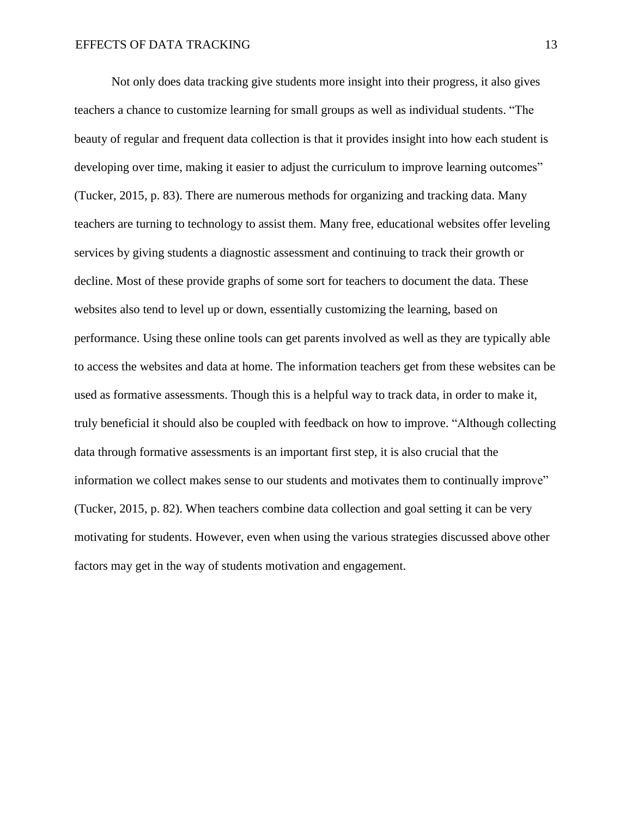Not only does data tracking give students more insight into their progress, it also gives teachers a chance to customize learning for small groups as well as individual students. "The beauty of regular and frequent data collection is that it provides insight into how each student is developing over time, making it easier to adjust the curriculum to improve learning outcomes" (Tucker, 2015, p. 83). There are numerous methods for organizing and tracking data. Many teachers are turning to technology to assist them. Many free, educational websites offer leveling services by giving students a diagnostic assessment and continuing to track their growth or decline. Most of these provide graphs of some sort for teachers to document the data. These websites also tend to level up or down, essentially customizing the learning, based on performance. Using these online tools can get parents involved as well as they are typically able to access the websites and data at home. The information teachers get from these websites can be used as formative assessments. Though this is a helpful way to track data, in order to make it, truly beneficial it should also be coupled with feedback on how to improve. "Although collecting data through formative assessments is an important first step, it is also crucial that the information we collect makes sense to our students and motivates them to continually improve" (Tucker, 2015, p. 82). When teachers combine data collection and goal setting it can be very motivating for students. However, even when using the various strategies discussed above other factors may get in the way of students motivation and engagement.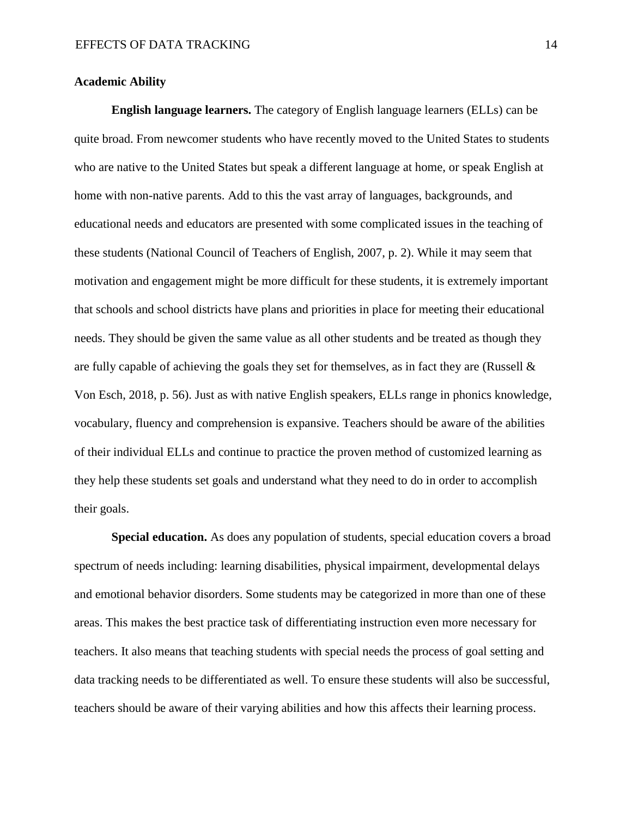## **Academic Ability**

**English language learners.** The category of English language learners (ELLs) can be quite broad. From newcomer students who have recently moved to the United States to students who are native to the United States but speak a different language at home, or speak English at home with non-native parents. Add to this the vast array of languages, backgrounds, and educational needs and educators are presented with some complicated issues in the teaching of these students (National Council of Teachers of English, 2007, p. 2). While it may seem that motivation and engagement might be more difficult for these students, it is extremely important that schools and school districts have plans and priorities in place for meeting their educational needs. They should be given the same value as all other students and be treated as though they are fully capable of achieving the goals they set for themselves, as in fact they are (Russell  $\&$ Von Esch, 2018, p. 56). Just as with native English speakers, ELLs range in phonics knowledge, vocabulary, fluency and comprehension is expansive. Teachers should be aware of the abilities of their individual ELLs and continue to practice the proven method of customized learning as they help these students set goals and understand what they need to do in order to accomplish their goals.

**Special education.** As does any population of students, special education covers a broad spectrum of needs including: learning disabilities, physical impairment, developmental delays and emotional behavior disorders. Some students may be categorized in more than one of these areas. This makes the best practice task of differentiating instruction even more necessary for teachers. It also means that teaching students with special needs the process of goal setting and data tracking needs to be differentiated as well. To ensure these students will also be successful, teachers should be aware of their varying abilities and how this affects their learning process.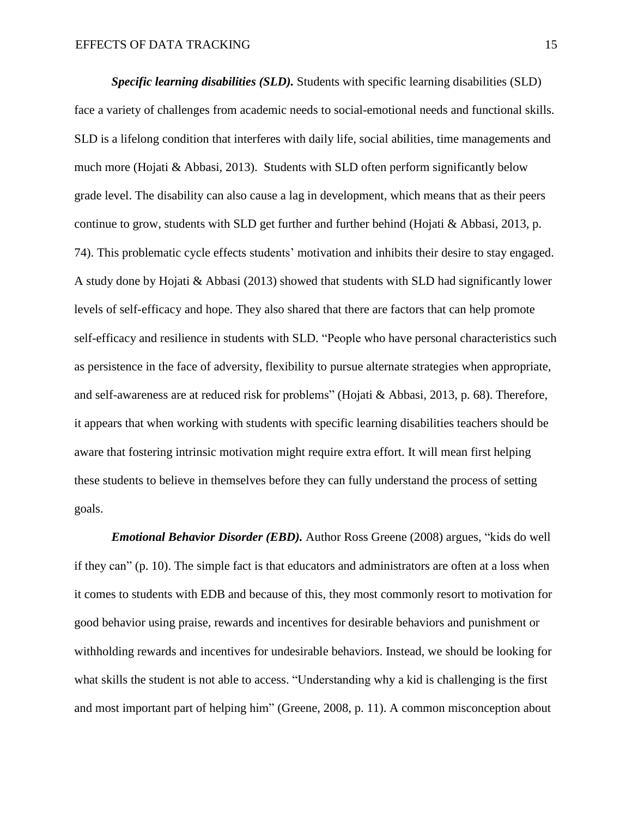*Specific learning disabilities (SLD).* Students with specific learning disabilities (SLD) face a variety of challenges from academic needs to social-emotional needs and functional skills. SLD is a lifelong condition that interferes with daily life, social abilities, time managements and much more (Hojati & Abbasi, 2013). Students with SLD often perform significantly below grade level. The disability can also cause a lag in development, which means that as their peers continue to grow, students with SLD get further and further behind (Hojati & Abbasi, 2013, p. 74). This problematic cycle effects students' motivation and inhibits their desire to stay engaged. A study done by Hojati & Abbasi (2013) showed that students with SLD had significantly lower levels of self-efficacy and hope. They also shared that there are factors that can help promote self-efficacy and resilience in students with SLD. "People who have personal characteristics such as persistence in the face of adversity, flexibility to pursue alternate strategies when appropriate, and self-awareness are at reduced risk for problems" (Hojati & Abbasi, 2013, p. 68). Therefore, it appears that when working with students with specific learning disabilities teachers should be aware that fostering intrinsic motivation might require extra effort. It will mean first helping these students to believe in themselves before they can fully understand the process of setting goals.

*Emotional Behavior Disorder (EBD).* Author Ross Greene (2008) argues, "kids do well if they can" (p. 10). The simple fact is that educators and administrators are often at a loss when it comes to students with EDB and because of this, they most commonly resort to motivation for good behavior using praise, rewards and incentives for desirable behaviors and punishment or withholding rewards and incentives for undesirable behaviors. Instead, we should be looking for what skills the student is not able to access. "Understanding why a kid is challenging is the first and most important part of helping him" (Greene, 2008, p. 11). A common misconception about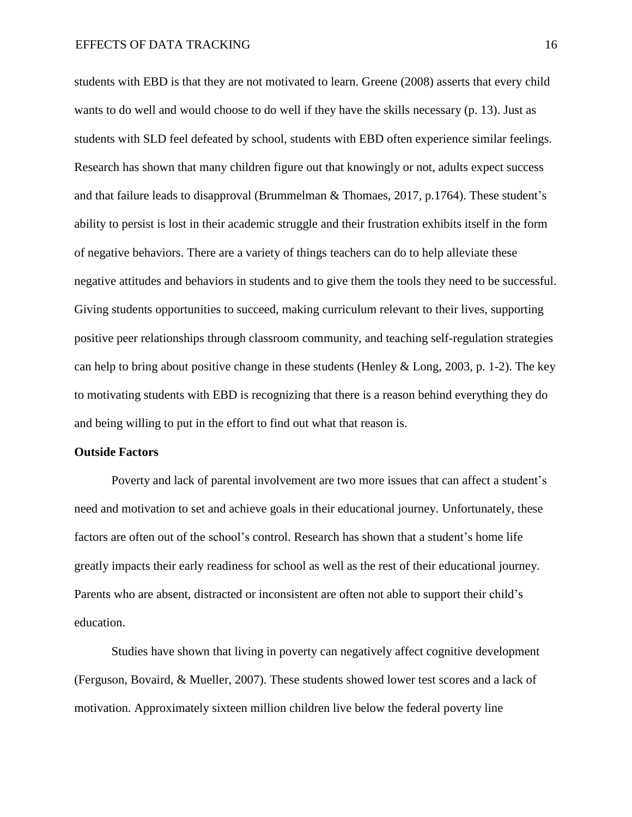students with EBD is that they are not motivated to learn. Greene (2008) asserts that every child wants to do well and would choose to do well if they have the skills necessary (p. 13). Just as students with SLD feel defeated by school, students with EBD often experience similar feelings. Research has shown that many children figure out that knowingly or not, adults expect success and that failure leads to disapproval (Brummelman & Thomaes, 2017, p.1764). These student's ability to persist is lost in their academic struggle and their frustration exhibits itself in the form of negative behaviors. There are a variety of things teachers can do to help alleviate these negative attitudes and behaviors in students and to give them the tools they need to be successful. Giving students opportunities to succeed, making curriculum relevant to their lives, supporting positive peer relationships through classroom community, and teaching self-regulation strategies can help to bring about positive change in these students (Henley  $&$  Long, 2003, p. 1-2). The key to motivating students with EBD is recognizing that there is a reason behind everything they do and being willing to put in the effort to find out what that reason is.

#### **Outside Factors**

Poverty and lack of parental involvement are two more issues that can affect a student's need and motivation to set and achieve goals in their educational journey. Unfortunately, these factors are often out of the school's control. Research has shown that a student's home life greatly impacts their early readiness for school as well as the rest of their educational journey. Parents who are absent, distracted or inconsistent are often not able to support their child's education.

Studies have shown that living in poverty can negatively affect cognitive development (Ferguson, Bovaird, & Mueller, 2007). These students showed lower test scores and a lack of motivation. Approximately sixteen million children live below the federal poverty line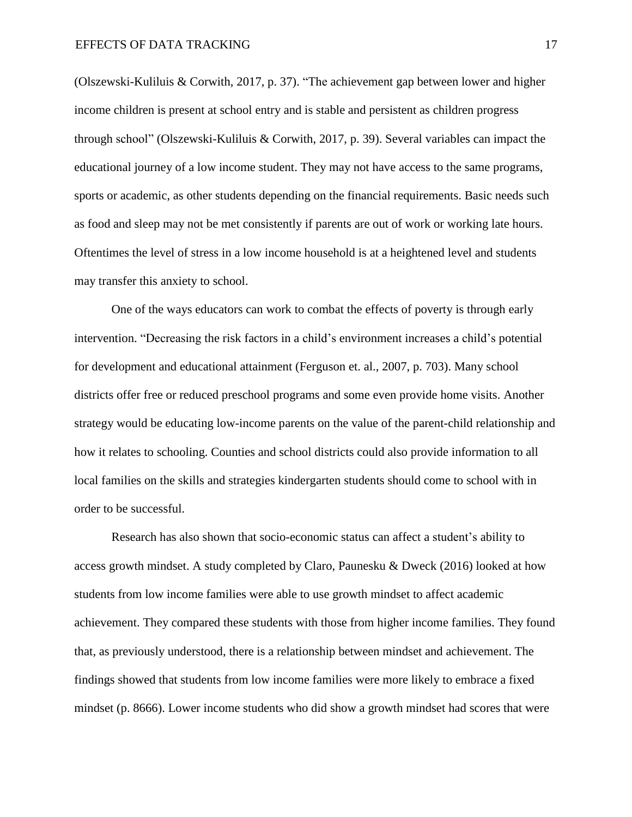(Olszewski-Kuliluis & Corwith, 2017, p. 37). "The achievement gap between lower and higher income children is present at school entry and is stable and persistent as children progress through school" (Olszewski-Kuliluis & Corwith, 2017, p. 39). Several variables can impact the educational journey of a low income student. They may not have access to the same programs, sports or academic, as other students depending on the financial requirements. Basic needs such as food and sleep may not be met consistently if parents are out of work or working late hours. Oftentimes the level of stress in a low income household is at a heightened level and students may transfer this anxiety to school.

One of the ways educators can work to combat the effects of poverty is through early intervention. "Decreasing the risk factors in a child's environment increases a child's potential for development and educational attainment (Ferguson et. al., 2007, p. 703). Many school districts offer free or reduced preschool programs and some even provide home visits. Another strategy would be educating low-income parents on the value of the parent-child relationship and how it relates to schooling. Counties and school districts could also provide information to all local families on the skills and strategies kindergarten students should come to school with in order to be successful.

Research has also shown that socio-economic status can affect a student's ability to access growth mindset. A study completed by Claro, Paunesku & Dweck (2016) looked at how students from low income families were able to use growth mindset to affect academic achievement. They compared these students with those from higher income families. They found that, as previously understood, there is a relationship between mindset and achievement. The findings showed that students from low income families were more likely to embrace a fixed mindset (p. 8666). Lower income students who did show a growth mindset had scores that were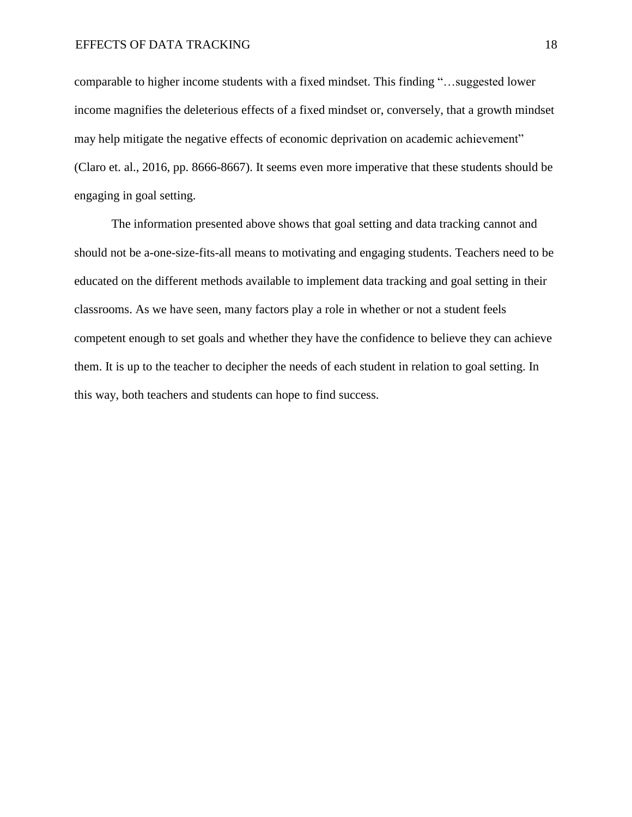comparable to higher income students with a fixed mindset. This finding "…suggested lower income magnifies the deleterious effects of a fixed mindset or, conversely, that a growth mindset may help mitigate the negative effects of economic deprivation on academic achievement" (Claro et. al., 2016, pp. 8666-8667). It seems even more imperative that these students should be engaging in goal setting.

The information presented above shows that goal setting and data tracking cannot and should not be a-one-size-fits-all means to motivating and engaging students. Teachers need to be educated on the different methods available to implement data tracking and goal setting in their classrooms. As we have seen, many factors play a role in whether or not a student feels competent enough to set goals and whether they have the confidence to believe they can achieve them. It is up to the teacher to decipher the needs of each student in relation to goal setting. In this way, both teachers and students can hope to find success.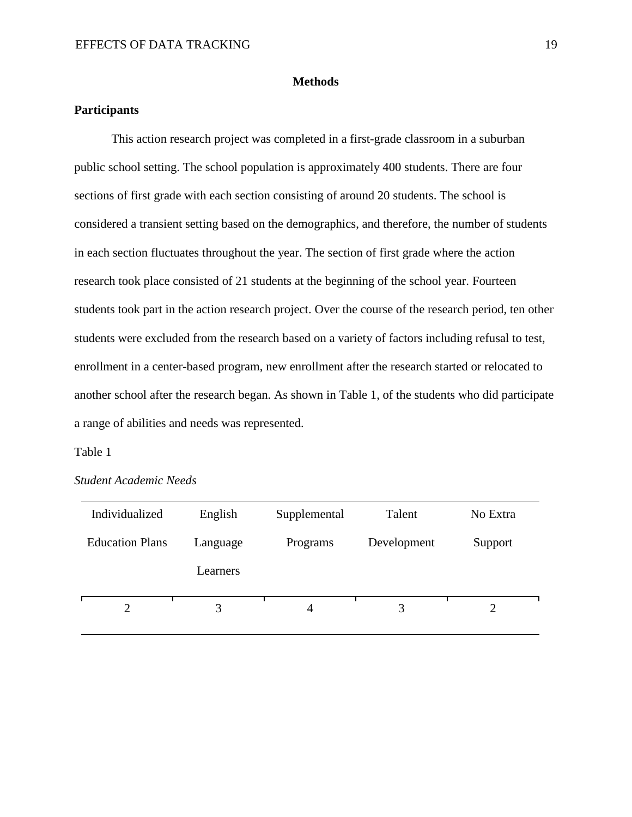#### **Methods**

# **Participants**

This action research project was completed in a first-grade classroom in a suburban public school setting. The school population is approximately 400 students. There are four sections of first grade with each section consisting of around 20 students. The school is considered a transient setting based on the demographics, and therefore, the number of students in each section fluctuates throughout the year. The section of first grade where the action research took place consisted of 21 students at the beginning of the school year. Fourteen students took part in the action research project. Over the course of the research period, ten other students were excluded from the research based on a variety of factors including refusal to test, enrollment in a center-based program, new enrollment after the research started or relocated to another school after the research began. As shown in Table 1, of the students who did participate a range of abilities and needs was represented.

#### Table 1

| Individualized         | English  | Supplemental | Talent      | No Extra |
|------------------------|----------|--------------|-------------|----------|
| <b>Education Plans</b> | Language | Programs     | Development | Support  |
|                        | Learners |              |             |          |
| 2                      | 3        | 4            | 3           |          |

*Student Academic Needs*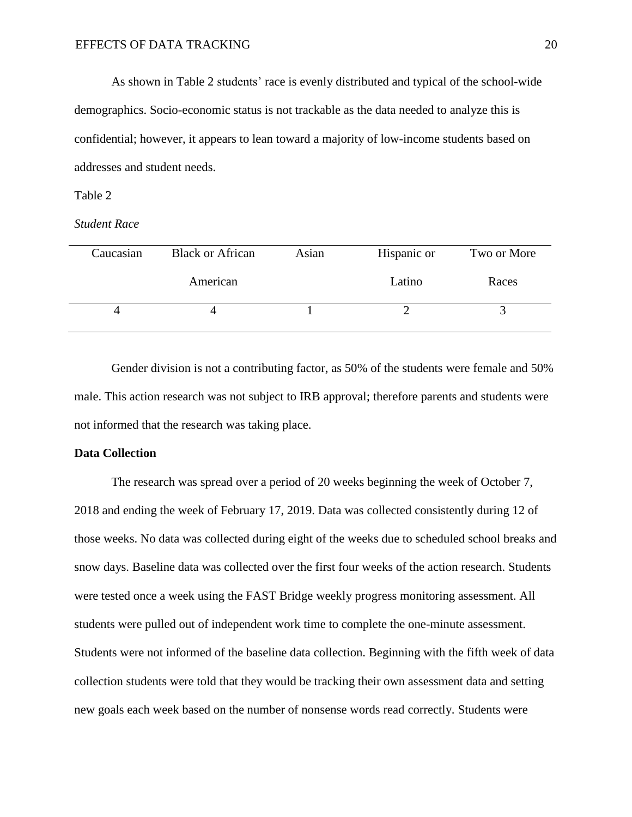As shown in Table 2 students' race is evenly distributed and typical of the school-wide demographics. Socio-economic status is not trackable as the data needed to analyze this is confidential; however, it appears to lean toward a majority of low-income students based on addresses and student needs.

#### Table 2

#### *Student Race*

| Caucasian | <b>Black or African</b> | Asian | Hispanic or | Two or More |
|-----------|-------------------------|-------|-------------|-------------|
|           | American                |       | Latino      | Races       |
|           |                         |       |             |             |

Gender division is not a contributing factor, as 50% of the students were female and 50% male. This action research was not subject to IRB approval; therefore parents and students were not informed that the research was taking place.

#### **Data Collection**

The research was spread over a period of 20 weeks beginning the week of October 7, 2018 and ending the week of February 17, 2019. Data was collected consistently during 12 of those weeks. No data was collected during eight of the weeks due to scheduled school breaks and snow days. Baseline data was collected over the first four weeks of the action research. Students were tested once a week using the FAST Bridge weekly progress monitoring assessment. All students were pulled out of independent work time to complete the one-minute assessment. Students were not informed of the baseline data collection. Beginning with the fifth week of data collection students were told that they would be tracking their own assessment data and setting new goals each week based on the number of nonsense words read correctly. Students were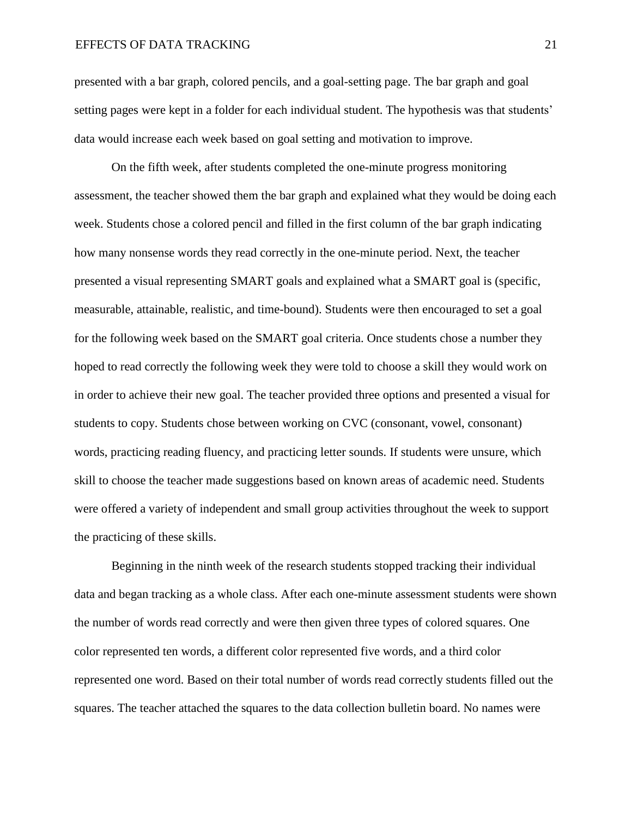presented with a bar graph, colored pencils, and a goal-setting page. The bar graph and goal setting pages were kept in a folder for each individual student. The hypothesis was that students' data would increase each week based on goal setting and motivation to improve.

On the fifth week, after students completed the one-minute progress monitoring assessment, the teacher showed them the bar graph and explained what they would be doing each week. Students chose a colored pencil and filled in the first column of the bar graph indicating how many nonsense words they read correctly in the one-minute period. Next, the teacher presented a visual representing SMART goals and explained what a SMART goal is (specific, measurable, attainable, realistic, and time-bound). Students were then encouraged to set a goal for the following week based on the SMART goal criteria. Once students chose a number they hoped to read correctly the following week they were told to choose a skill they would work on in order to achieve their new goal. The teacher provided three options and presented a visual for students to copy. Students chose between working on CVC (consonant, vowel, consonant) words, practicing reading fluency, and practicing letter sounds. If students were unsure, which skill to choose the teacher made suggestions based on known areas of academic need. Students were offered a variety of independent and small group activities throughout the week to support the practicing of these skills.

Beginning in the ninth week of the research students stopped tracking their individual data and began tracking as a whole class. After each one-minute assessment students were shown the number of words read correctly and were then given three types of colored squares. One color represented ten words, a different color represented five words, and a third color represented one word. Based on their total number of words read correctly students filled out the squares. The teacher attached the squares to the data collection bulletin board. No names were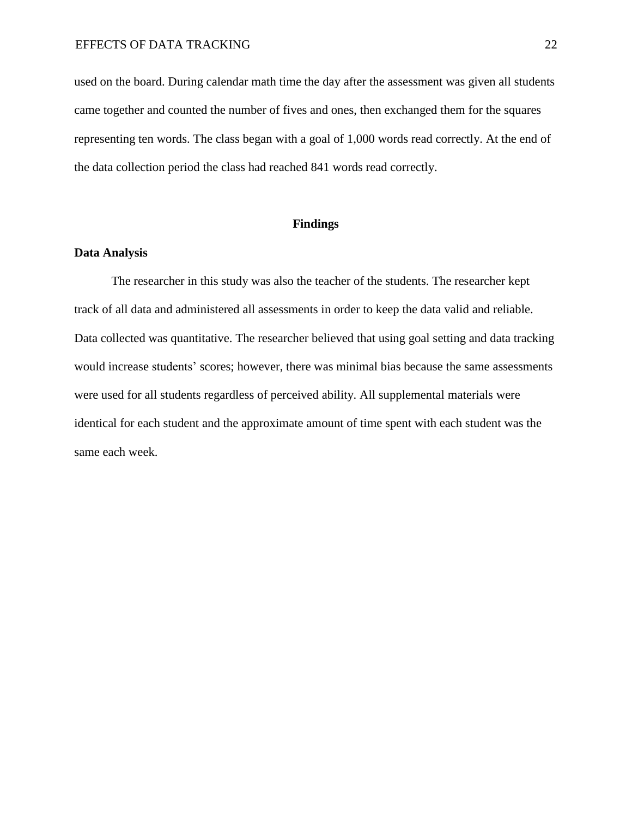used on the board. During calendar math time the day after the assessment was given all students came together and counted the number of fives and ones, then exchanged them for the squares representing ten words. The class began with a goal of 1,000 words read correctly. At the end of the data collection period the class had reached 841 words read correctly.

# **Findings**

#### **Data Analysis**

The researcher in this study was also the teacher of the students. The researcher kept track of all data and administered all assessments in order to keep the data valid and reliable. Data collected was quantitative. The researcher believed that using goal setting and data tracking would increase students' scores; however, there was minimal bias because the same assessments were used for all students regardless of perceived ability. All supplemental materials were identical for each student and the approximate amount of time spent with each student was the same each week.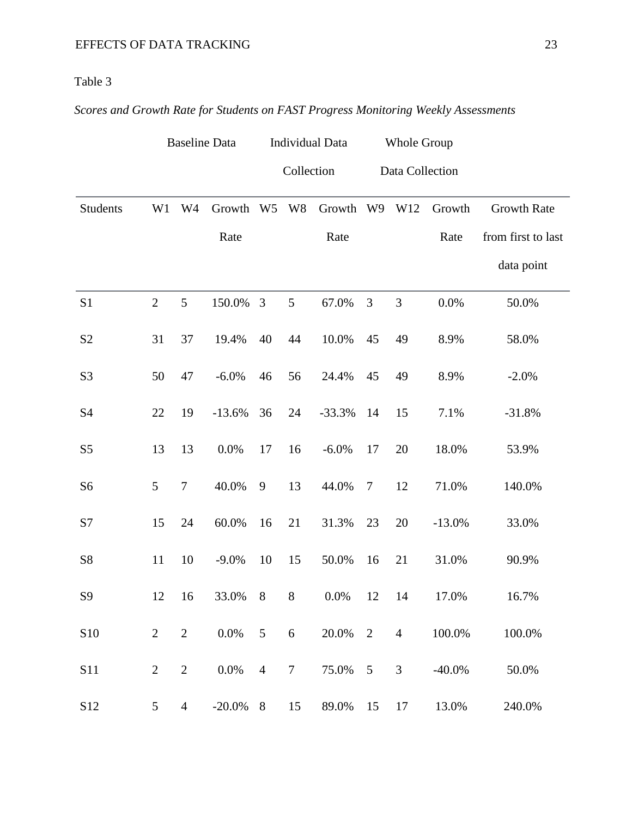# Table 3

# *Scores and Growth Rate for Students on FAST Progress Monitoring Weekly Assessments*

|                |                 |                  | <b>Baseline Data</b> |                |                | <b>Individual Data</b><br>Whole Group |                |                 |           |                    |
|----------------|-----------------|------------------|----------------------|----------------|----------------|---------------------------------------|----------------|-----------------|-----------|--------------------|
|                |                 |                  |                      |                | Collection     |                                       |                | Data Collection |           |                    |
| Students       | W <sub>1</sub>  | W <sub>4</sub>   | Growth               | W <sub>5</sub> | W <sub>8</sub> | Growth W9                             |                | W12             | Growth    | <b>Growth Rate</b> |
|                |                 |                  | Rate                 |                |                | Rate                                  |                |                 | Rate      | from first to last |
|                |                 |                  |                      |                |                |                                       |                |                 |           | data point         |
| S <sub>1</sub> | $\overline{2}$  | 5                | 150.0%               | 3              | 5              | 67.0%                                 | 3              | $\mathfrak{Z}$  | 0.0%      | 50.0%              |
| S <sub>2</sub> | 31              | 37               | 19.4%                | 40             | 44             | 10.0%                                 | 45             | 49              | 8.9%      | 58.0%              |
| S <sub>3</sub> | 50              | 47               | $-6.0\%$             | 46             | 56             | 24.4%                                 | 45             | 49              | 8.9%      | $-2.0%$            |
| S4             | 22              | 19               | $-13.6%$             | 36             | 24             | $-33.3%$                              | 14             | 15              | 7.1%      | $-31.8%$           |
| S <sub>5</sub> | 13              | 13               | 0.0%                 | 17             | 16             | $-6.0\%$                              | 17             | 20              | 18.0%     | 53.9%              |
| S <sub>6</sub> | 5               | $\boldsymbol{7}$ | 40.0%                | 9              | 13             | 44.0%                                 | $\overline{7}$ | 12              | 71.0%     | 140.0%             |
| S7             | 15              | 24               | 60.0%                | 16             | 21             | 31.3%                                 | 23             | 20              | $-13.0%$  | 33.0%              |
| S8             | 11              | 10               | $-9.0\%$             | 10             | 15             | 50.0%                                 | 16             | 21              | 31.0%     | 90.9%              |
| S <sub>9</sub> | 12              | 16               | 33.0%                | 8              | 8              | $0.0\%$                               | 12             | 14              | 17.0%     | 16.7%              |
| $\sqrt{510}$   | $\overline{2}$  | $\mathbf{2}$     | $0.0\%$              | 5              | $6\,$          | 20.0%                                 | 2              | $\overline{4}$  | 100.0%    | 100.0%             |
| <b>S11</b>     | $\overline{2}$  | $\sqrt{2}$       | 0.0%                 | $\overline{4}$ | $\overline{7}$ | 75.0%                                 | 5              | 3               | $-40.0\%$ | 50.0%              |
| S12            | $5\overline{)}$ | $\overline{4}$   | $-20.0\%$            | $8\phantom{1}$ | 15             | 89.0%                                 | 15             | 17              | 13.0%     | 240.0%             |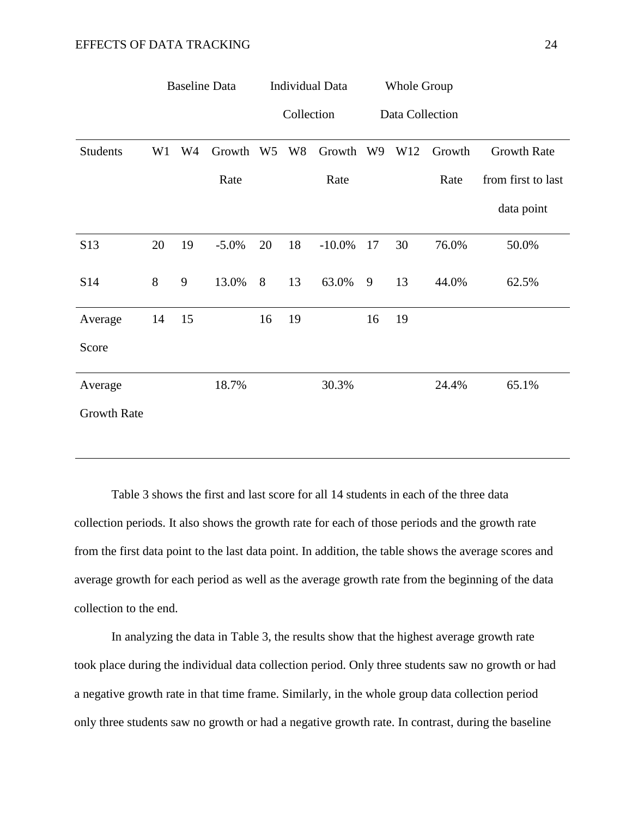|                    |    |                | <b>Baseline Data</b> |                | <b>Individual Data</b> |           | <b>Whole Group</b> |     |        |                    |  |  |
|--------------------|----|----------------|----------------------|----------------|------------------------|-----------|--------------------|-----|--------|--------------------|--|--|
|                    |    |                |                      |                | Collection             |           | Data Collection    |     |        |                    |  |  |
| Students           | W1 | W <sub>4</sub> | Growth               | W <sub>5</sub> | W <sub>8</sub>         | Growth    | W9                 | W12 | Growth | <b>Growth Rate</b> |  |  |
|                    |    |                | Rate                 |                |                        | Rate      |                    |     | Rate   | from first to last |  |  |
|                    |    |                |                      |                |                        |           |                    |     |        | data point         |  |  |
| S13                | 20 | 19             | $-5.0\%$             | 20             | 18                     | $-10.0\%$ | 17                 | 30  | 76.0%  | 50.0%              |  |  |
| S14                | 8  | 9              | 13.0%                | 8              | 13                     | 63.0%     | 9                  | 13  | 44.0%  | 62.5%              |  |  |
| Average            | 14 | 15             |                      | 16             | 19                     |           | 16                 | 19  |        |                    |  |  |
| Score              |    |                |                      |                |                        |           |                    |     |        |                    |  |  |
| Average            |    |                | 18.7%                |                |                        | 30.3%     |                    |     | 24.4%  | 65.1%              |  |  |
| <b>Growth Rate</b> |    |                |                      |                |                        |           |                    |     |        |                    |  |  |

Table 3 shows the first and last score for all 14 students in each of the three data collection periods. It also shows the growth rate for each of those periods and the growth rate from the first data point to the last data point. In addition, the table shows the average scores and average growth for each period as well as the average growth rate from the beginning of the data collection to the end.

In analyzing the data in Table 3, the results show that the highest average growth rate took place during the individual data collection period. Only three students saw no growth or had a negative growth rate in that time frame. Similarly, in the whole group data collection period only three students saw no growth or had a negative growth rate. In contrast, during the baseline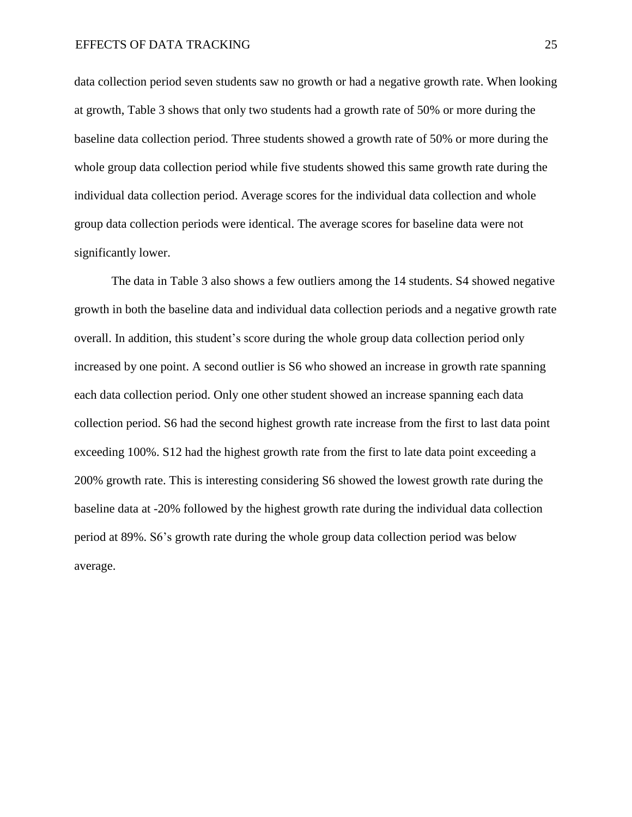data collection period seven students saw no growth or had a negative growth rate. When looking at growth, Table 3 shows that only two students had a growth rate of 50% or more during the baseline data collection period. Three students showed a growth rate of 50% or more during the whole group data collection period while five students showed this same growth rate during the individual data collection period. Average scores for the individual data collection and whole group data collection periods were identical. The average scores for baseline data were not significantly lower.

The data in Table 3 also shows a few outliers among the 14 students. S4 showed negative growth in both the baseline data and individual data collection periods and a negative growth rate overall. In addition, this student's score during the whole group data collection period only increased by one point. A second outlier is S6 who showed an increase in growth rate spanning each data collection period. Only one other student showed an increase spanning each data collection period. S6 had the second highest growth rate increase from the first to last data point exceeding 100%. S12 had the highest growth rate from the first to late data point exceeding a 200% growth rate. This is interesting considering S6 showed the lowest growth rate during the baseline data at -20% followed by the highest growth rate during the individual data collection period at 89%. S6's growth rate during the whole group data collection period was below average.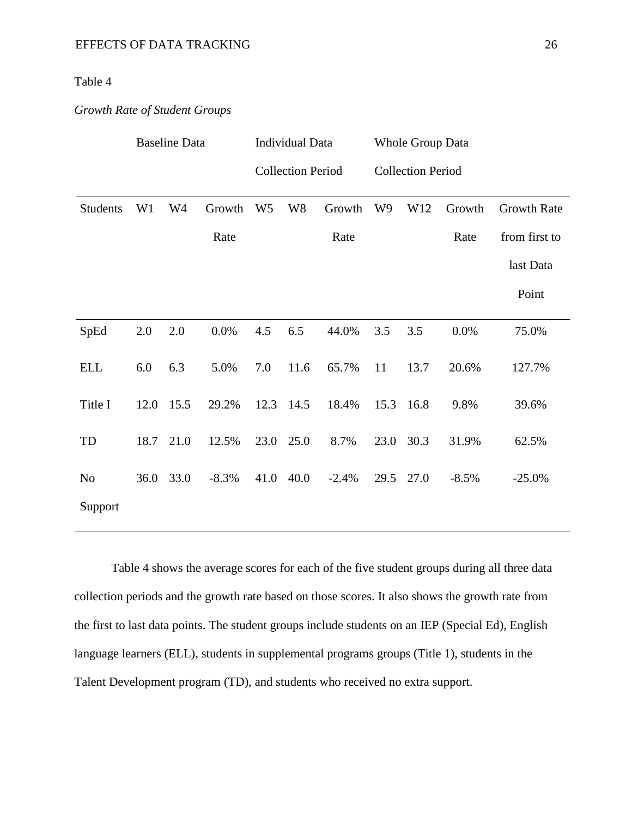# Table 4

# *Growth Rate of Student Groups*

|                 | <b>Baseline Data</b> |           |         | <b>Individual Data</b>   |                |         | <b>Whole Group Data</b>  |      |         |                    |  |
|-----------------|----------------------|-----------|---------|--------------------------|----------------|---------|--------------------------|------|---------|--------------------|--|
|                 |                      |           |         | <b>Collection Period</b> |                |         | <b>Collection Period</b> |      |         |                    |  |
| <b>Students</b> | W <sub>1</sub>       | W4        | Growth  | W <sub>5</sub>           | W <sub>8</sub> | Growth  | W <sub>9</sub>           | W12  | Growth  | <b>Growth Rate</b> |  |
|                 |                      |           | Rate    |                          |                | Rate    |                          |      | Rate    | from first to      |  |
|                 |                      |           |         |                          |                |         |                          |      |         | last Data          |  |
|                 |                      |           |         |                          |                |         |                          |      |         | Point              |  |
| SpEd            | 2.0                  | 2.0       | 0.0%    | 4.5                      | 6.5            | 44.0%   | 3.5                      | 3.5  | 0.0%    | 75.0%              |  |
| <b>ELL</b>      | 6.0                  | 6.3       | 5.0%    | 7.0                      | 11.6           | 65.7%   | 11                       | 13.7 | 20.6%   | 127.7%             |  |
| Title I         | 12.0                 | 15.5      | 29.2%   | 12.3 14.5                |                | 18.4%   | 15.3                     | 16.8 | 9.8%    | 39.6%              |  |
| TD              |                      | 18.7 21.0 | 12.5%   | 23.0 25.0                |                | 8.7%    | 23.0                     | 30.3 | 31.9%   | 62.5%              |  |
| N <sub>o</sub>  | 36.0                 | 33.0      | $-8.3%$ | 41.0                     | 40.0           | $-2.4%$ | 29.5                     | 27.0 | $-8.5%$ | $-25.0%$           |  |
| Support         |                      |           |         |                          |                |         |                          |      |         |                    |  |

Table 4 shows the average scores for each of the five student groups during all three data collection periods and the growth rate based on those scores. It also shows the growth rate from the first to last data points. The student groups include students on an IEP (Special Ed), English language learners (ELL), students in supplemental programs groups (Title 1), students in the Talent Development program (TD), and students who received no extra support.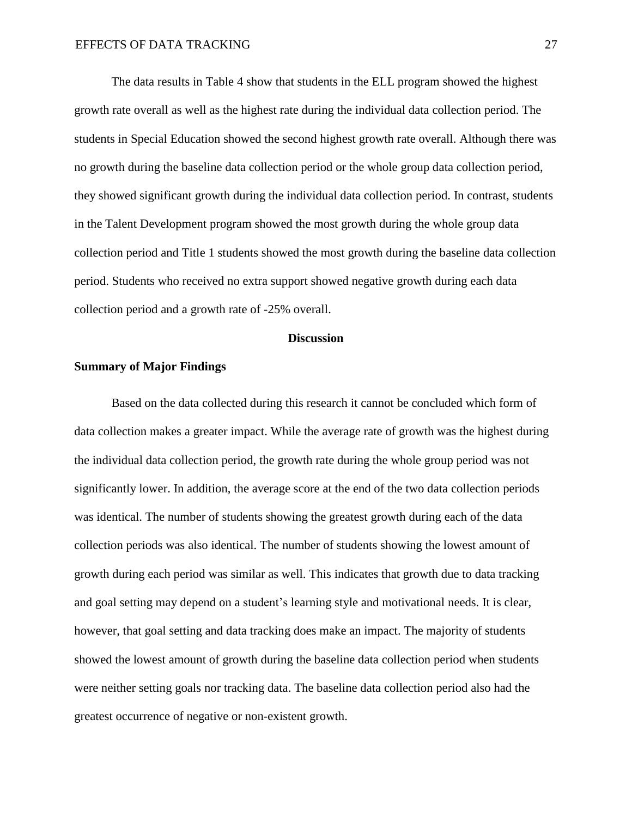The data results in Table 4 show that students in the ELL program showed the highest growth rate overall as well as the highest rate during the individual data collection period. The students in Special Education showed the second highest growth rate overall. Although there was no growth during the baseline data collection period or the whole group data collection period, they showed significant growth during the individual data collection period. In contrast, students in the Talent Development program showed the most growth during the whole group data collection period and Title 1 students showed the most growth during the baseline data collection period. Students who received no extra support showed negative growth during each data collection period and a growth rate of -25% overall.

#### **Discussion**

#### **Summary of Major Findings**

Based on the data collected during this research it cannot be concluded which form of data collection makes a greater impact. While the average rate of growth was the highest during the individual data collection period, the growth rate during the whole group period was not significantly lower. In addition, the average score at the end of the two data collection periods was identical. The number of students showing the greatest growth during each of the data collection periods was also identical. The number of students showing the lowest amount of growth during each period was similar as well. This indicates that growth due to data tracking and goal setting may depend on a student's learning style and motivational needs. It is clear, however, that goal setting and data tracking does make an impact. The majority of students showed the lowest amount of growth during the baseline data collection period when students were neither setting goals nor tracking data. The baseline data collection period also had the greatest occurrence of negative or non-existent growth.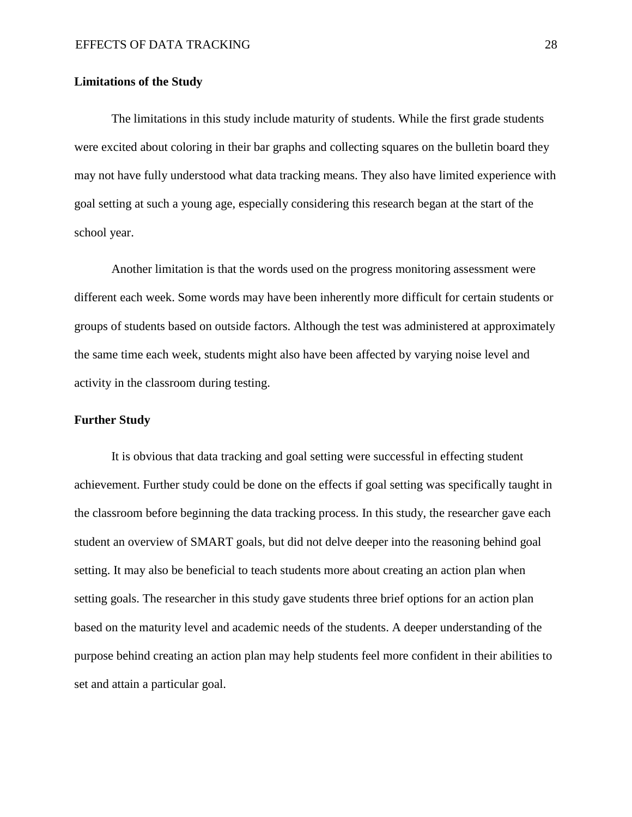#### **Limitations of the Study**

The limitations in this study include maturity of students. While the first grade students were excited about coloring in their bar graphs and collecting squares on the bulletin board they may not have fully understood what data tracking means. They also have limited experience with goal setting at such a young age, especially considering this research began at the start of the school year.

Another limitation is that the words used on the progress monitoring assessment were different each week. Some words may have been inherently more difficult for certain students or groups of students based on outside factors. Although the test was administered at approximately the same time each week, students might also have been affected by varying noise level and activity in the classroom during testing.

#### **Further Study**

It is obvious that data tracking and goal setting were successful in effecting student achievement. Further study could be done on the effects if goal setting was specifically taught in the classroom before beginning the data tracking process. In this study, the researcher gave each student an overview of SMART goals, but did not delve deeper into the reasoning behind goal setting. It may also be beneficial to teach students more about creating an action plan when setting goals. The researcher in this study gave students three brief options for an action plan based on the maturity level and academic needs of the students. A deeper understanding of the purpose behind creating an action plan may help students feel more confident in their abilities to set and attain a particular goal.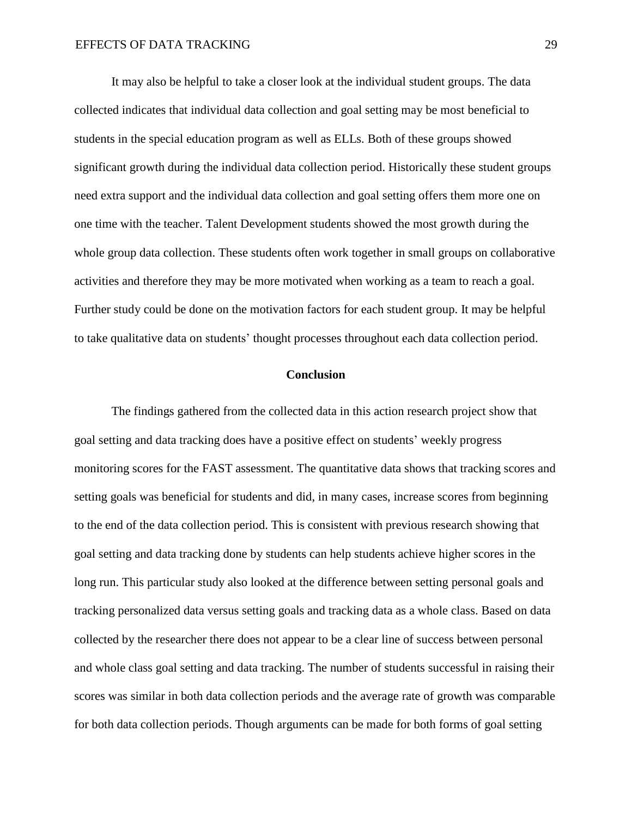It may also be helpful to take a closer look at the individual student groups. The data collected indicates that individual data collection and goal setting may be most beneficial to students in the special education program as well as ELLs. Both of these groups showed significant growth during the individual data collection period. Historically these student groups need extra support and the individual data collection and goal setting offers them more one on one time with the teacher. Talent Development students showed the most growth during the whole group data collection. These students often work together in small groups on collaborative activities and therefore they may be more motivated when working as a team to reach a goal. Further study could be done on the motivation factors for each student group. It may be helpful to take qualitative data on students' thought processes throughout each data collection period.

# **Conclusion**

The findings gathered from the collected data in this action research project show that goal setting and data tracking does have a positive effect on students' weekly progress monitoring scores for the FAST assessment. The quantitative data shows that tracking scores and setting goals was beneficial for students and did, in many cases, increase scores from beginning to the end of the data collection period. This is consistent with previous research showing that goal setting and data tracking done by students can help students achieve higher scores in the long run. This particular study also looked at the difference between setting personal goals and tracking personalized data versus setting goals and tracking data as a whole class. Based on data collected by the researcher there does not appear to be a clear line of success between personal and whole class goal setting and data tracking. The number of students successful in raising their scores was similar in both data collection periods and the average rate of growth was comparable for both data collection periods. Though arguments can be made for both forms of goal setting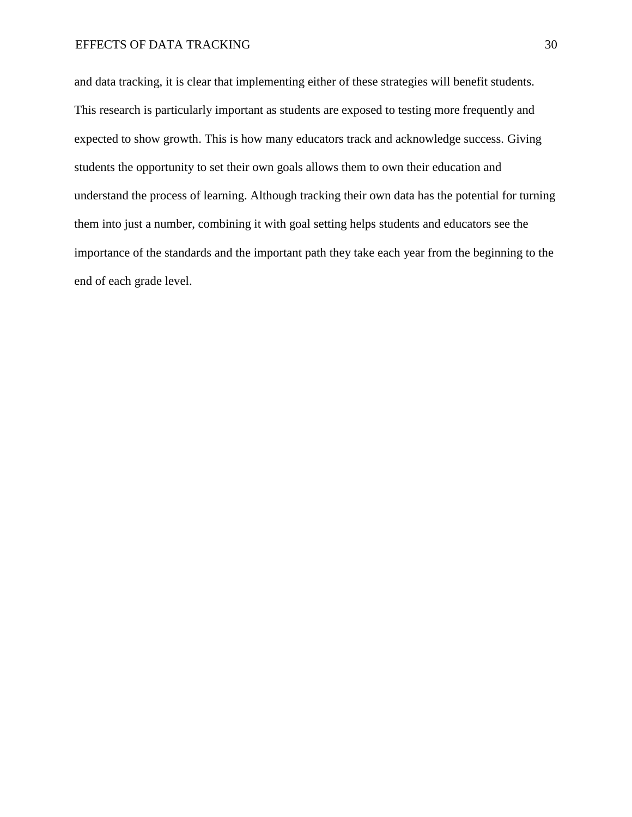and data tracking, it is clear that implementing either of these strategies will benefit students. This research is particularly important as students are exposed to testing more frequently and expected to show growth. This is how many educators track and acknowledge success. Giving students the opportunity to set their own goals allows them to own their education and understand the process of learning. Although tracking their own data has the potential for turning them into just a number, combining it with goal setting helps students and educators see the importance of the standards and the important path they take each year from the beginning to the end of each grade level.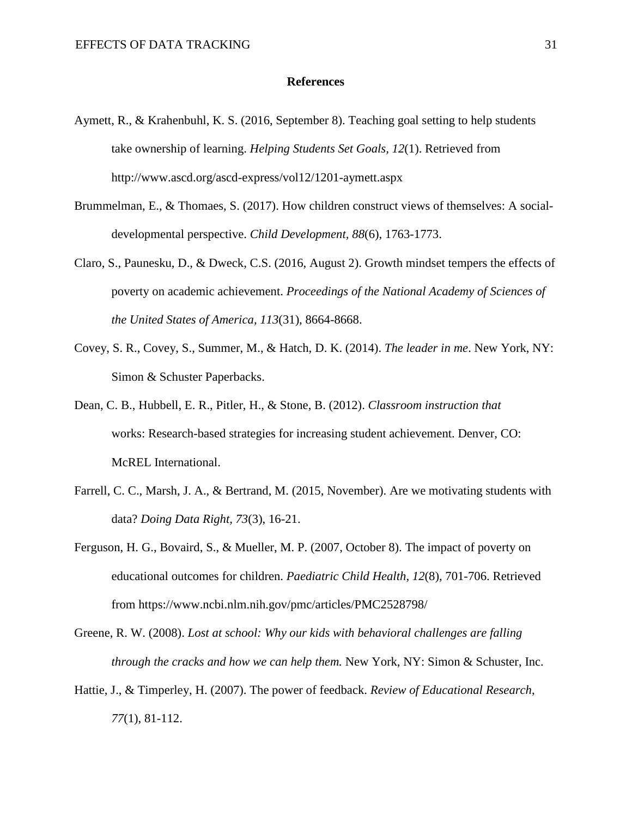#### **References**

- Aymett, R., & Krahenbuhl, K. S. (2016, September 8). Teaching goal setting to help students take ownership of learning. *Helping Students Set Goals, 12*(1). Retrieved from http://www.ascd.org/ascd-express/vol12/1201-aymett.aspx
- Brummelman, E., & Thomaes, S. (2017). How children construct views of themselves: A socialdevelopmental perspective. *Child Development, 88*(6), 1763-1773.
- Claro, S., Paunesku, D., & Dweck, C.S. (2016, August 2). Growth mindset tempers the effects of poverty on academic achievement. *Proceedings of the National Academy of Sciences of the United States of America, 113*(31), 8664-8668.
- Covey, S. R., Covey, S., Summer, M., & Hatch, D. K. (2014). *The leader in me*. New York, NY: Simon & Schuster Paperbacks.
- Dean, C. B., Hubbell, E. R., Pitler, H., & Stone, B. (2012). *Classroom instruction that* works: Research-based strategies for increasing student achievement. Denver, CO: McREL International.
- Farrell, C. C., Marsh, J. A., & Bertrand, M. (2015, November). Are we motivating students with data? *Doing Data Right, 73*(3), 16-21.
- Ferguson, H. G., Bovaird, S., & Mueller, M. P. (2007, October 8). The impact of poverty on educational outcomes for children. *Paediatric Child Health, 12*(8), 701-706. Retrieved from https://www.ncbi.nlm.nih.gov/pmc/articles/PMC2528798/
- Greene, R. W. (2008). *Lost at school: Why our kids with behavioral challenges are falling through the cracks and how we can help them.* New York, NY: Simon & Schuster, Inc.
- Hattie, J., & Timperley, H. (2007). The power of feedback. *Review of Educational Research*, *77*(1), 81-112.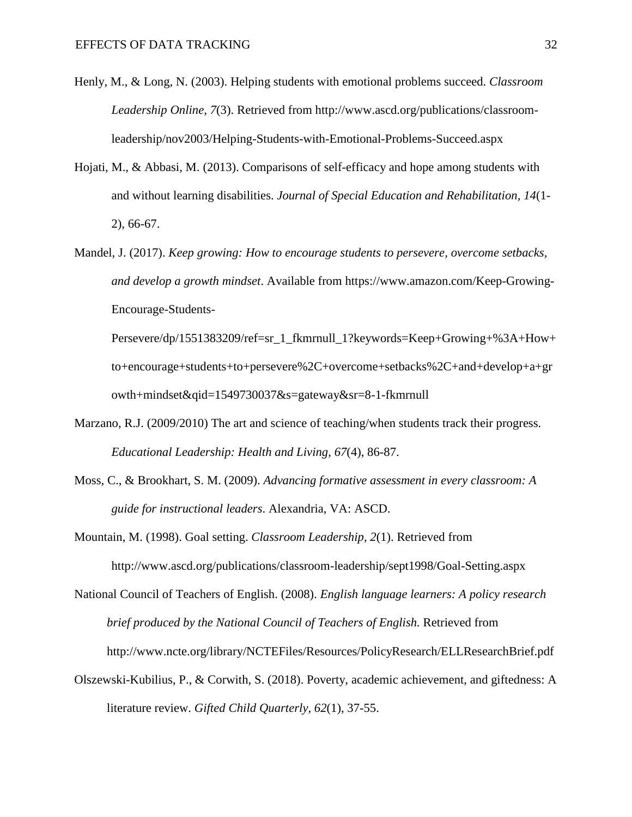- Henly, M., & Long, N. (2003). Helping students with emotional problems succeed. *Classroom Leadership Online, 7*(3). Retrieved from http://www.ascd.org/publications/classroomleadership/nov2003/Helping-Students-with-Emotional-Problems-Succeed.aspx
- Hojati, M., & Abbasi, M. (2013). Comparisons of self-efficacy and hope among students with and without learning disabilities. *Journal of Special Education and Rehabilitation, 14*(1- 2), 66-67.
- Mandel, J. (2017). *Keep growing: How to encourage students to persevere, overcome setbacks, and develop a growth mindset*. Available from https://www.amazon.com/Keep-Growing-Encourage-Students-

Persevere/dp/1551383209/ref=sr\_1\_fkmrnull\_1?keywords=Keep+Growing+%3A+How+ to+encourage+students+to+persevere%2C+overcome+setbacks%2C+and+develop+a+gr owth+mindset&qid=1549730037&s=gateway&sr=8-1-fkmrnull

- Marzano, R.J. (2009/2010) The art and science of teaching/when students track their progress. *Educational Leadership: Health and Living, 67*(4), 86-87.
- Moss, C., & Brookhart, S. M. (2009). *Advancing formative assessment in every classroom: A guide for instructional leaders*. Alexandria, VA: ASCD.
- Mountain, M. (1998). Goal setting. *Classroom Leadership, 2*(1). Retrieved from http://www.ascd.org/publications/classroom-leadership/sept1998/Goal-Setting.aspx

National Council of Teachers of English. (2008). *English language learners: A policy research brief produced by the National Council of Teachers of English.* Retrieved from http://www.ncte.org/library/NCTEFiles/Resources/PolicyResearch/ELLResearchBrief.pdf

Olszewski-Kubilius, P., & Corwith, S. (2018). Poverty, academic achievement, and giftedness: A literature review. *Gifted Child Quarterly, 62*(1), 37-55.